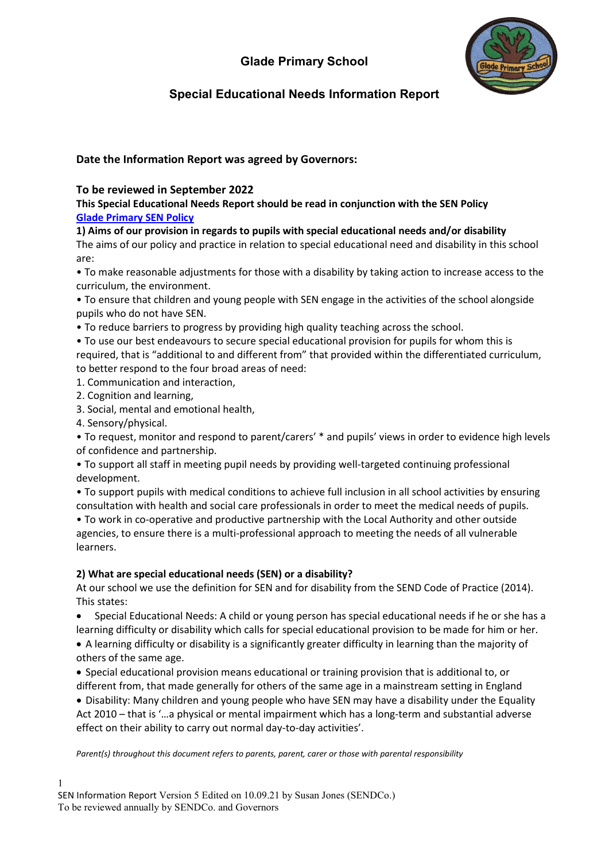

# **Special Educational Needs Information Report**

## **Date the Information Report was agreed by Governors:**

### **To be reviewed in September 2022**

**This Special Educational Needs Report should be read in conjunction with the SEN Policy [Glade Primary SEN Policy](https://2449988e-dac5-4706-b2c1-2a9ec9e21200.filesusr.com/ugd/55ef99_6e37e10e871449b38f60249c9f3b7f44.pdf)** 

**1) Aims of our provision in regards to pupils with special educational needs and/or disability**

The aims of our policy and practice in relation to special educational need and disability in this school are:

• To make reasonable adjustments for those with a disability by taking action to increase access to the curriculum, the environment.

• To ensure that children and young people with SEN engage in the activities of the school alongside pupils who do not have SEN.

• To reduce barriers to progress by providing high quality teaching across the school.

• To use our best endeavours to secure special educational provision for pupils for whom this is required, that is "additional to and different from" that provided within the differentiated curriculum, to better respond to the four broad areas of need:

1. Communication and interaction,

2. Cognition and learning,

3. Social, mental and emotional health,

4. Sensory/physical.

• To request, monitor and respond to parent/carers' \* and pupils' views in order to evidence high levels of confidence and partnership.

• To support all staff in meeting pupil needs by providing well-targeted continuing professional development.

• To support pupils with medical conditions to achieve full inclusion in all school activities by ensuring consultation with health and social care professionals in order to meet the medical needs of pupils.

• To work in co-operative and productive partnership with the Local Authority and other outside agencies, to ensure there is a multi-professional approach to meeting the needs of all vulnerable learners.

### **2) What are special educational needs (SEN) or a disability?**

At our school we use the definition for SEN and for disability from the SEND Code of Practice (2014). This states:

• Special Educational Needs: A child or young person has special educational needs if he or she has a learning difficulty or disability which calls for special educational provision to be made for him or her. • A learning difficulty or disability is a significantly greater difficulty in learning than the majority of

others of the same age.

• Special educational provision means educational or training provision that is additional to, or different from, that made generally for others of the same age in a mainstream setting in England

• Disability: Many children and young people who have SEN may have a disability under the Equality Act 2010 – that is '…a physical or mental impairment which has a long-term and substantial adverse effect on their ability to carry out normal day-to-day activities'.

*Parent(s) throughout this document refers to parents, parent, carer or those with parental responsibility*

1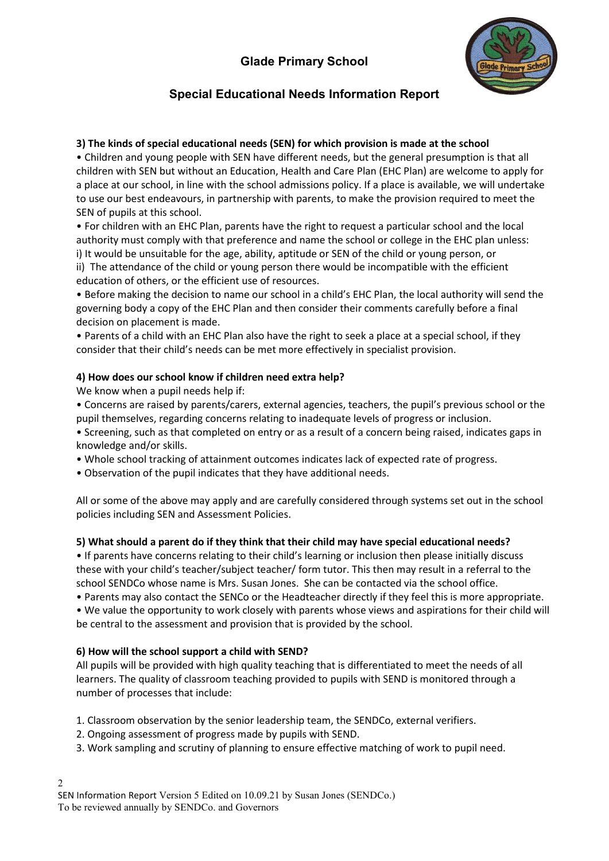

# **Special Educational Needs Information Report**

### **3) The kinds of special educational needs (SEN) for which provision is made at the school**

• Children and young people with SEN have different needs, but the general presumption is that all children with SEN but without an Education, Health and Care Plan (EHC Plan) are welcome to apply for a place at our school, in line with the school admissions policy. If a place is available, we will undertake to use our best endeavours, in partnership with parents, to make the provision required to meet the SEN of pupils at this school.

• For children with an EHC Plan, parents have the right to request a particular school and the local authority must comply with that preference and name the school or college in the EHC plan unless: i) It would be unsuitable for the age, ability, aptitude or SEN of the child or young person, or ii) The attendance of the child or young person there would be incompatible with the efficient education of others, or the efficient use of resources.

• Before making the decision to name our school in a child's EHC Plan, the local authority will send the governing body a copy of the EHC Plan and then consider their comments carefully before a final decision on placement is made.

• Parents of a child with an EHC Plan also have the right to seek a place at a special school, if they consider that their child's needs can be met more effectively in specialist provision.

### **4) How does our school know if children need extra help?**

We know when a pupil needs help if:

• Concerns are raised by parents/carers, external agencies, teachers, the pupil's previous school or the pupil themselves, regarding concerns relating to inadequate levels of progress or inclusion.

• Screening, such as that completed on entry or as a result of a concern being raised, indicates gaps in knowledge and/or skills.

• Whole school tracking of attainment outcomes indicates lack of expected rate of progress.

• Observation of the pupil indicates that they have additional needs.

All or some of the above may apply and are carefully considered through systems set out in the school policies including SEN and Assessment Policies.

### **5) What should a parent do if they think that their child may have special educational needs?**

• If parents have concerns relating to their child's learning or inclusion then please initially discuss these with your child's teacher/subject teacher/ form tutor. This then may result in a referral to the school SENDCo whose name is Mrs. Susan Jones. She can be contacted via the school office.

• Parents may also contact the SENCo or the Headteacher directly if they feel this is more appropriate. • We value the opportunity to work closely with parents whose views and aspirations for their child will be central to the assessment and provision that is provided by the school.

### **6) How will the school support a child with SEND?**

All pupils will be provided with high quality teaching that is differentiated to meet the needs of all learners. The quality of classroom teaching provided to pupils with SEND is monitored through a number of processes that include:

1. Classroom observation by the senior leadership team, the SENDCo, external verifiers.

2. Ongoing assessment of progress made by pupils with SEND.

3. Work sampling and scrutiny of planning to ensure effective matching of work to pupil need.

2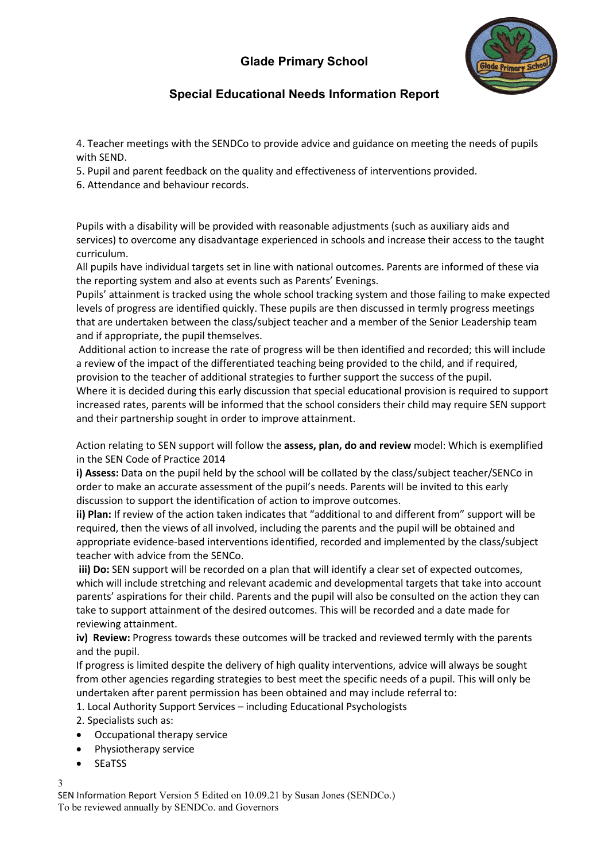

# **Special Educational Needs Information Report**

4. Teacher meetings with the SENDCo to provide advice and guidance on meeting the needs of pupils with SEND.

5. Pupil and parent feedback on the quality and effectiveness of interventions provided.

6. Attendance and behaviour records.

Pupils with a disability will be provided with reasonable adjustments (such as auxiliary aids and services) to overcome any disadvantage experienced in schools and increase their access to the taught curriculum.

All pupils have individual targets set in line with national outcomes. Parents are informed of these via the reporting system and also at events such as Parents' Evenings.

Pupils' attainment is tracked using the whole school tracking system and those failing to make expected levels of progress are identified quickly. These pupils are then discussed in termly progress meetings that are undertaken between the class/subject teacher and a member of the Senior Leadership team and if appropriate, the pupil themselves.

Additional action to increase the rate of progress will be then identified and recorded; this will include a review of the impact of the differentiated teaching being provided to the child, and if required, provision to the teacher of additional strategies to further support the success of the pupil. Where it is decided during this early discussion that special educational provision is required to support increased rates, parents will be informed that the school considers their child may require SEN support

and their partnership sought in order to improve attainment.

Action relating to SEN support will follow the **assess, plan, do and review** model: Which is exemplified in the SEN Code of Practice 2014

**i) Assess:** Data on the pupil held by the school will be collated by the class/subject teacher/SENCo in order to make an accurate assessment of the pupil's needs. Parents will be invited to this early discussion to support the identification of action to improve outcomes.

**ii) Plan:** If review of the action taken indicates that "additional to and different from" support will be required, then the views of all involved, including the parents and the pupil will be obtained and appropriate evidence-based interventions identified, recorded and implemented by the class/subject teacher with advice from the SENCo.

**iii) Do:** SEN support will be recorded on a plan that will identify a clear set of expected outcomes, which will include stretching and relevant academic and developmental targets that take into account parents' aspirations for their child. Parents and the pupil will also be consulted on the action they can take to support attainment of the desired outcomes. This will be recorded and a date made for reviewing attainment.

**iv) Review:** Progress towards these outcomes will be tracked and reviewed termly with the parents and the pupil.

If progress is limited despite the delivery of high quality interventions, advice will always be sought from other agencies regarding strategies to best meet the specific needs of a pupil. This will only be undertaken after parent permission has been obtained and may include referral to:

1. Local Authority Support Services – including Educational Psychologists

2. Specialists such as:

- Occupational therapy service
- Physiotherapy service
- **SEaTSS**

3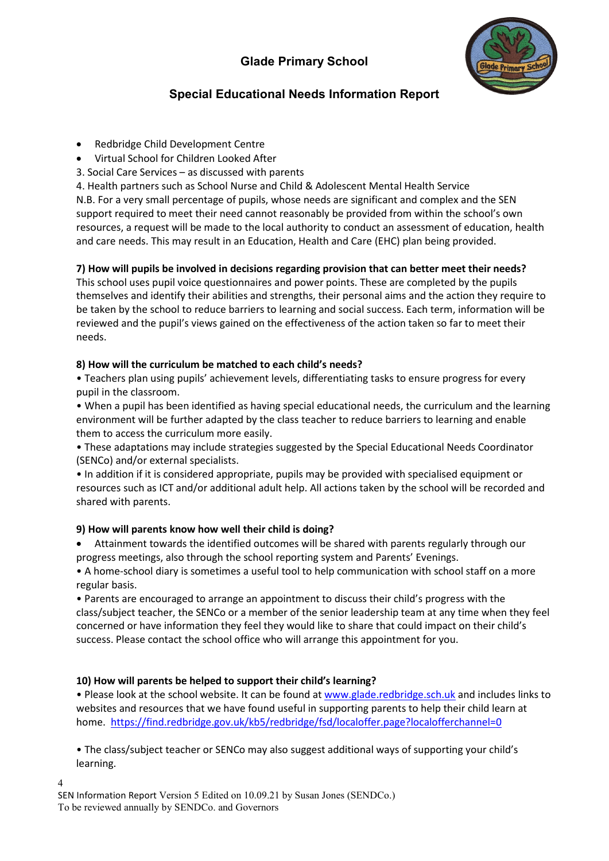

# **Special Educational Needs Information Report**

- Redbridge Child Development Centre
- Virtual School for Children Looked After
- 3. Social Care Services as discussed with parents

4. Health partners such as School Nurse and Child & Adolescent Mental Health Service N.B. For a very small percentage of pupils, whose needs are significant and complex and the SEN support required to meet their need cannot reasonably be provided from within the school's own resources, a request will be made to the local authority to conduct an assessment of education, health and care needs. This may result in an Education, Health and Care (EHC) plan being provided.

## **7) How will pupils be involved in decisions regarding provision that can better meet their needs?**

This school uses pupil voice questionnaires and power points. These are completed by the pupils themselves and identify their abilities and strengths, their personal aims and the action they require to be taken by the school to reduce barriers to learning and social success. Each term, information will be reviewed and the pupil's views gained on the effectiveness of the action taken so far to meet their needs.

## **8) How will the curriculum be matched to each child's needs?**

• Teachers plan using pupils' achievement levels, differentiating tasks to ensure progress for every pupil in the classroom.

• When a pupil has been identified as having special educational needs, the curriculum and the learning environment will be further adapted by the class teacher to reduce barriers to learning and enable them to access the curriculum more easily.

• These adaptations may include strategies suggested by the Special Educational Needs Coordinator (SENCo) and/or external specialists.

• In addition if it is considered appropriate, pupils may be provided with specialised equipment or resources such as ICT and/or additional adult help. All actions taken by the school will be recorded and shared with parents.

## **9) How will parents know how well their child is doing?**

• Attainment towards the identified outcomes will be shared with parents regularly through our progress meetings, also through the school reporting system and Parents' Evenings.

• A home-school diary is sometimes a useful tool to help communication with school staff on a more regular basis.

• Parents are encouraged to arrange an appointment to discuss their child's progress with the class/subject teacher, the SENCo or a member of the senior leadership team at any time when they feel concerned or have information they feel they would like to share that could impact on their child's success. Please contact the school office who will arrange this appointment for you.

## **10) How will parents be helped to support their child's learning?**

• Please look at the school website. It can be found at [www.glade.redbridge.sch.uk](http://www.glade.redbridge.sch.uk/) and includes links to websites and resources that we have found useful in supporting parents to help their child learn at home. <https://find.redbridge.gov.uk/kb5/redbridge/fsd/localoffer.page?localofferchannel=0>

• The class/subject teacher or SENCo may also suggest additional ways of supporting your child's learning.

4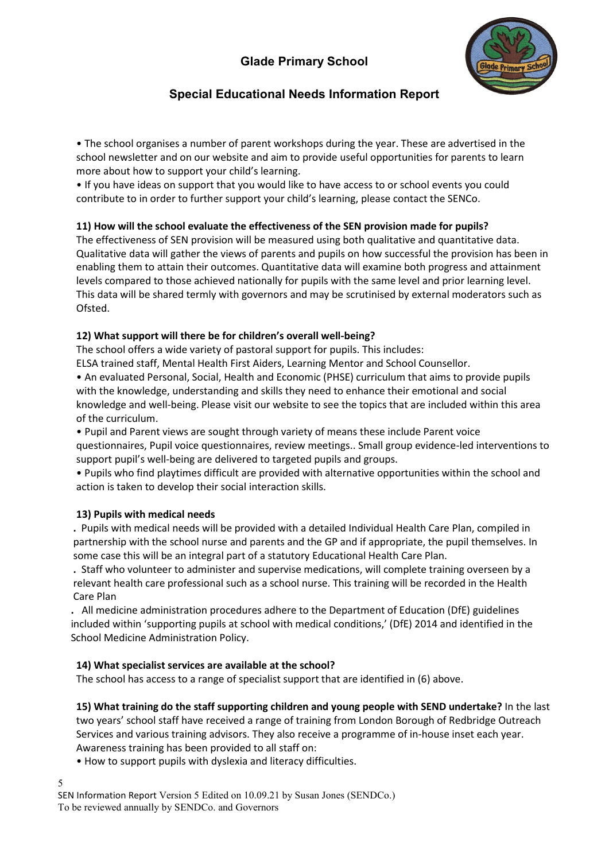

## **Special Educational Needs Information Report**

• The school organises a number of parent workshops during the year. These are advertised in the school newsletter and on our website and aim to provide useful opportunities for parents to learn more about how to support your child's learning.

• If you have ideas on support that you would like to have access to or school events you could contribute to in order to further support your child's learning, please contact the SENCo.

### **11) How will the school evaluate the effectiveness of the SEN provision made for pupils?**

The effectiveness of SEN provision will be measured using both qualitative and quantitative data. Qualitative data will gather the views of parents and pupils on how successful the provision has been in enabling them to attain their outcomes. Quantitative data will examine both progress and attainment levels compared to those achieved nationally for pupils with the same level and prior learning level. This data will be shared termly with governors and may be scrutinised by external moderators such as Ofsted.

### **12) What support will there be for children's overall well-being?**

The school offers a wide variety of pastoral support for pupils. This includes:

ELSA trained staff, Mental Health First Aiders, Learning Mentor and School Counsellor.

• An evaluated Personal, Social, Health and Economic (PHSE) curriculum that aims to provide pupils with the knowledge, understanding and skills they need to enhance their emotional and social knowledge and well-being. Please visit our website to see the topics that are included within this area of the curriculum.

• Pupil and Parent views are sought through variety of means these include Parent voice questionnaires, Pupil voice questionnaires, review meetings.. Small group evidence-led interventions to support pupil's well-being are delivered to targeted pupils and groups.

• Pupils who find playtimes difficult are provided with alternative opportunities within the school and action is taken to develop their social interaction skills.

### **13) Pupils with medical needs**

**.** Pupils with medical needs will be provided with a detailed Individual Health Care Plan, compiled in partnership with the school nurse and parents and the GP and if appropriate, the pupil themselves. In some case this will be an integral part of a statutory Educational Health Care Plan.

**.** Staff who volunteer to administer and supervise medications, will complete training overseen by a relevant health care professional such as a school nurse. This training will be recorded in the Health Care Plan

**.** All medicine administration procedures adhere to the Department of Education (DfE) guidelines included within 'supporting pupils at school with medical conditions,' (DfE) 2014 and identified in the School Medicine Administration Policy.

### **14) What specialist services are available at the school?**

The school has access to a range of specialist support that are identified in (6) above.

**15) What training do the staff supporting children and young people with SEND undertake?** In the last two years' school staff have received a range of training from London Borough of Redbridge Outreach Services and various training advisors. They also receive a programme of in-house inset each year. Awareness training has been provided to all staff on:

• How to support pupils with dyslexia and literacy difficulties.

SEN Information Report Version 5 Edited on 10.09.21 by Susan Jones (SENDCo.) To be reviewed annually by SENDCo. and Governors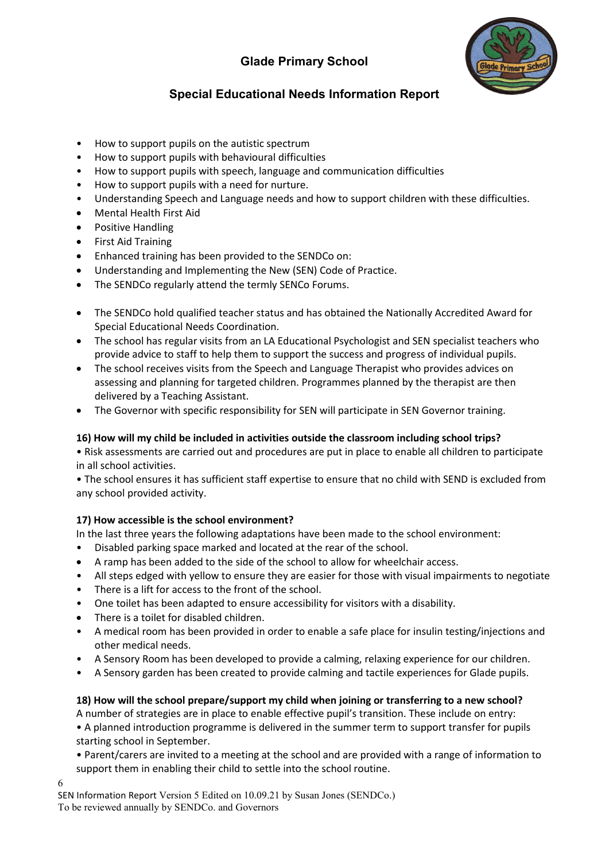

# **Special Educational Needs Information Report**

- How to support pupils on the autistic spectrum
- How to support pupils with behavioural difficulties
- How to support pupils with speech, language and communication difficulties
- How to support pupils with a need for nurture.
- Understanding Speech and Language needs and how to support children with these difficulties.
- Mental Health First Aid
- Positive Handling
- First Aid Training
- Enhanced training has been provided to the SENDCo on:
- Understanding and Implementing the New (SEN) Code of Practice.
- The SENDCo regularly attend the termly SENCo Forums.
- The SENDCo hold qualified teacher status and has obtained the Nationally Accredited Award for Special Educational Needs Coordination.
- The school has regular visits from an LA Educational Psychologist and SEN specialist teachers who provide advice to staff to help them to support the success and progress of individual pupils.
- The school receives visits from the Speech and Language Therapist who provides advices on assessing and planning for targeted children. Programmes planned by the therapist are then delivered by a Teaching Assistant.
- The Governor with specific responsibility for SEN will participate in SEN Governor training.

### **16) How will my child be included in activities outside the classroom including school trips?**

• Risk assessments are carried out and procedures are put in place to enable all children to participate in all school activities.

• The school ensures it has sufficient staff expertise to ensure that no child with SEND is excluded from any school provided activity.

### **17) How accessible is the school environment?**

In the last three years the following adaptations have been made to the school environment:

- Disabled parking space marked and located at the rear of the school.
- A ramp has been added to the side of the school to allow for wheelchair access.
- All steps edged with yellow to ensure they are easier for those with visual impairments to negotiate
- There is a lift for access to the front of the school.
- One toilet has been adapted to ensure accessibility for visitors with a disability.
- There is a toilet for disabled children.
- A medical room has been provided in order to enable a safe place for insulin testing/injections and other medical needs.
- A Sensory Room has been developed to provide a calming, relaxing experience for our children.
- A Sensory garden has been created to provide calming and tactile experiences for Glade pupils.

## **18) How will the school prepare/support my child when joining or transferring to a new school?**

A number of strategies are in place to enable effective pupil's transition. These include on entry:

• A planned introduction programme is delivered in the summer term to support transfer for pupils starting school in September.

• Parent/carers are invited to a meeting at the school and are provided with a range of information to support them in enabling their child to settle into the school routine.

6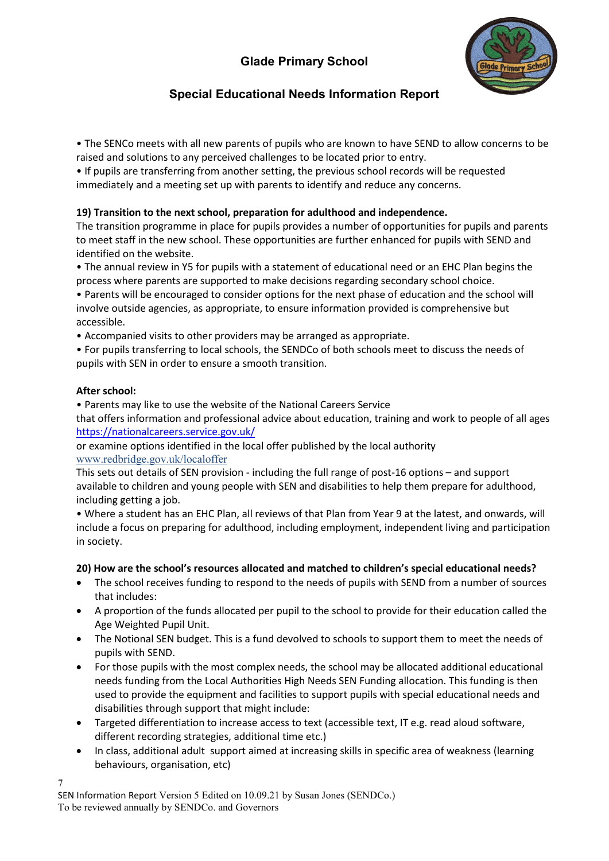

# **Special Educational Needs Information Report**

• The SENCo meets with all new parents of pupils who are known to have SEND to allow concerns to be raised and solutions to any perceived challenges to be located prior to entry.

• If pupils are transferring from another setting, the previous school records will be requested immediately and a meeting set up with parents to identify and reduce any concerns.

## **19) Transition to the next school, preparation for adulthood and independence.**

The transition programme in place for pupils provides a number of opportunities for pupils and parents to meet staff in the new school. These opportunities are further enhanced for pupils with SEND and identified on the website.

• The annual review in Y5 for pupils with a statement of educational need or an EHC Plan begins the process where parents are supported to make decisions regarding secondary school choice.

• Parents will be encouraged to consider options for the next phase of education and the school will involve outside agencies, as appropriate, to ensure information provided is comprehensive but accessible.

• Accompanied visits to other providers may be arranged as appropriate.

• For pupils transferring to local schools, the SENDCo of both schools meet to discuss the needs of pupils with SEN in order to ensure a smooth transition.

### **After school:**

7

• Parents may like to use the website of the National Careers Service

that offers information and professional advice about education, training and work to people of all ages <https://nationalcareers.service.gov.uk/>

or examine options identified in the local offer published by the local authority [www.redbridge.gov.uk/localoffer](http://www.redbridge.gov.uk/localoffer)

This sets out details of SEN provision - including the full range of post-16 options – and support available to children and young people with SEN and disabilities to help them prepare for adulthood, including getting a job.

• Where a student has an EHC Plan, all reviews of that Plan from Year 9 at the latest, and onwards, will include a focus on preparing for adulthood, including employment, independent living and participation in society.

### **20) How are the school's resources allocated and matched to children's special educational needs?**

- The school receives funding to respond to the needs of pupils with SEND from a number of sources that includes:
- A proportion of the funds allocated per pupil to the school to provide for their education called the Age Weighted Pupil Unit.
- The Notional SEN budget. This is a fund devolved to schools to support them to meet the needs of pupils with SEND.
- For those pupils with the most complex needs, the school may be allocated additional educational needs funding from the Local Authorities High Needs SEN Funding allocation. This funding is then used to provide the equipment and facilities to support pupils with special educational needs and disabilities through support that might include:
- Targeted differentiation to increase access to text (accessible text, IT e.g. read aloud software, different recording strategies, additional time etc.)
- In class, additional adult support aimed at increasing skills in specific area of weakness (learning behaviours, organisation, etc)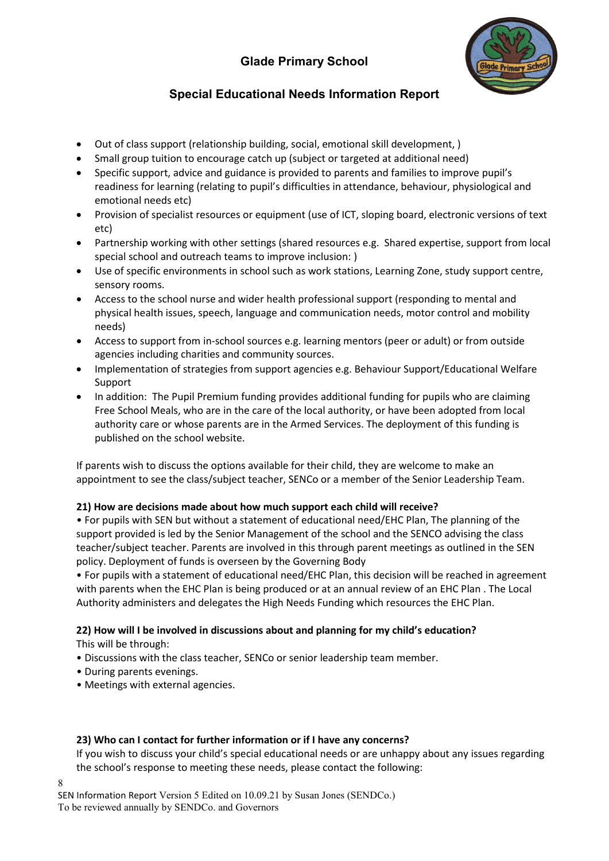

# **Special Educational Needs Information Report**

- Out of class support (relationship building, social, emotional skill development, )
- Small group tuition to encourage catch up (subject or targeted at additional need)
- Specific support, advice and guidance is provided to parents and families to improve pupil's readiness for learning (relating to pupil's difficulties in attendance, behaviour, physiological and emotional needs etc)
- Provision of specialist resources or equipment (use of ICT, sloping board, electronic versions of text etc)
- Partnership working with other settings (shared resources e.g. Shared expertise, support from local special school and outreach teams to improve inclusion: )
- Use of specific environments in school such as work stations, Learning Zone, study support centre, sensory rooms.
- Access to the school nurse and wider health professional support (responding to mental and physical health issues, speech, language and communication needs, motor control and mobility needs)
- Access to support from in-school sources e.g. learning mentors (peer or adult) or from outside agencies including charities and community sources.
- Implementation of strategies from support agencies e.g. Behaviour Support/Educational Welfare Support
- In addition: The Pupil Premium funding provides additional funding for pupils who are claiming Free School Meals, who are in the care of the local authority, or have been adopted from local authority care or whose parents are in the Armed Services. The deployment of this funding is published on the school website.

If parents wish to discuss the options available for their child, they are welcome to make an appointment to see the class/subject teacher, SENCo or a member of the Senior Leadership Team.

## **21) How are decisions made about how much support each child will receive?**

• For pupils with SEN but without a statement of educational need/EHC Plan, The planning of the support provided is led by the Senior Management of the school and the SENCO advising the class teacher/subject teacher. Parents are involved in this through parent meetings as outlined in the SEN policy. Deployment of funds is overseen by the Governing Body

• For pupils with a statement of educational need/EHC Plan, this decision will be reached in agreement with parents when the EHC Plan is being produced or at an annual review of an EHC Plan . The Local Authority administers and delegates the High Needs Funding which resources the EHC Plan.

#### **22) How will I be involved in discussions about and planning for my child's education?** This will be through:

- Discussions with the class teacher, SENCo or senior leadership team member.
- During parents evenings.
- Meetings with external agencies.

### **23) Who can I contact for further information or if I have any concerns?**

If you wish to discuss your child's special educational needs or are unhappy about any issues regarding the school's response to meeting these needs, please contact the following:

SEN Information Report Version 5 Edited on 10.09.21 by Susan Jones (SENDCo.) To be reviewed annually by SENDCo. and Governors

8